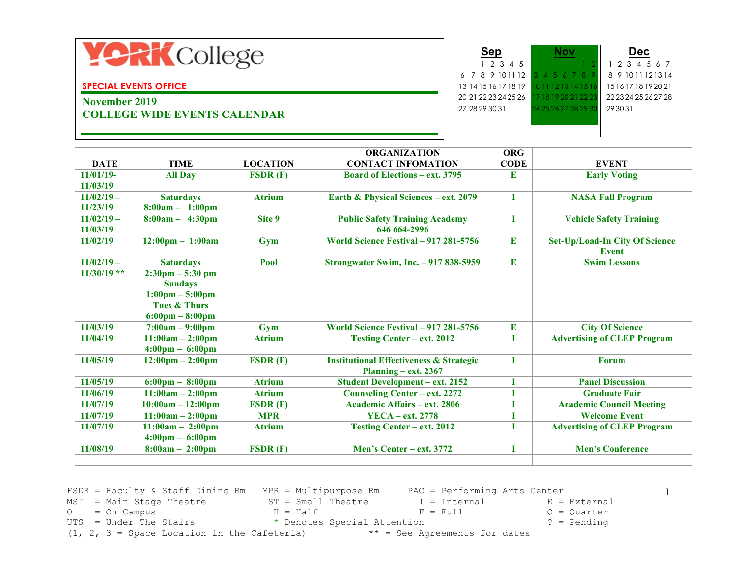

#### **SPECIAL EVENTS OFFICE**

# **November 2019 COLLEGE WIDE EVENTS CALENDAR**

|                      |                      | Dec.                 |  |  |
|----------------------|----------------------|----------------------|--|--|
|                      |                      |                      |  |  |
| 12345                |                      | 1 2 3 4 5 6 7        |  |  |
| 6 7 8 9 10 11 12     | 3 4 5 6 7 8          | 8 9 10 11 12 13 14   |  |  |
| 13 14 15 16 17 18 19 | 11213141516          | 15161718192021       |  |  |
| 20 21 22 23 24 25 26 | 17 18 19 20 21 22 23 | 22 23 24 25 26 27 28 |  |  |
| 27 28 29 30 31       | 24 25 26 27 28 29 30 | 29 30 31             |  |  |
|                      |                      |                      |  |  |
|                      |                      |                      |  |  |

|               |                                    |                 | <b>ORGANIZATION</b>                                | <b>ORG</b>  |                                                       |
|---------------|------------------------------------|-----------------|----------------------------------------------------|-------------|-------------------------------------------------------|
| <b>DATE</b>   | <b>TIME</b>                        | <b>LOCATION</b> | <b>CONTACT INFOMATION</b>                          | <b>CODE</b> | <b>EVENT</b>                                          |
| 11/01/19-     | <b>All Day</b>                     | FSDR(F)         | <b>Board of Elections – ext. 3795</b>              | E           | <b>Early Voting</b>                                   |
| 11/03/19      |                                    |                 |                                                    |             |                                                       |
| $11/02/19 -$  | <b>Saturdays</b>                   | <b>Atrium</b>   | Earth & Physical Sciences - ext. 2079              | T           | <b>NASA Fall Program</b>                              |
| 11/23/19      | $8:00am - 1:00pm$                  |                 |                                                    |             |                                                       |
| $11/02/19 -$  | $8:00am - 4:30pm$                  | Site 9          | <b>Public Safety Training Academy</b>              | Т           | <b>Vehicle Safety Training</b>                        |
| 11/03/19      |                                    |                 | 646 664-2996                                       |             |                                                       |
| 11/02/19      | $12:00 \text{pm} - 1:00 \text{am}$ | Gym             | World Science Festival - 917 281-5756              | E           | <b>Set-Up/Load-In City Of Science</b><br><b>Event</b> |
| $11/02/19 -$  | <b>Saturdays</b>                   | Pool            | <b>Strongwater Swim, Inc. - 917 838-5959</b>       | E           | <b>Swim Lessons</b>                                   |
| $11/30/19$ ** | $2:30 \text{pm} - 5:30 \text{pm}$  |                 |                                                    |             |                                                       |
|               | <b>Sundays</b>                     |                 |                                                    |             |                                                       |
|               | $1:00 \text{pm} - 5:00 \text{pm}$  |                 |                                                    |             |                                                       |
|               | <b>Tues &amp; Thurs</b>            |                 |                                                    |             |                                                       |
|               | $6:00 \text{pm} - 8:00 \text{pm}$  |                 |                                                    |             |                                                       |
| 11/03/19      | $7:00am - 9:00pm$                  | Gym             | World Science Festival - 917 281-5756              | E           | <b>City Of Science</b>                                |
| 11/04/19      | $11:00am - 2:00pm$                 | <b>Atrium</b>   | <b>Testing Center - ext. 2012</b>                  | Т           | <b>Advertising of CLEP Program</b>                    |
|               | $4:00 \text{pm} - 6:00 \text{pm}$  |                 |                                                    |             |                                                       |
| 11/05/19      | $12:00 \text{pm} - 2:00 \text{pm}$ | FSDR(F)         | <b>Institutional Effectiveness &amp; Strategic</b> | T           | <b>Forum</b>                                          |
|               |                                    |                 | Planning $-$ ext. 2367                             |             |                                                       |
| 11/05/19      | $6:00 \text{pm} - 8:00 \text{pm}$  | <b>Atrium</b>   | <b>Student Development - ext. 2152</b>             | I           | <b>Panel Discussion</b>                               |
| 11/06/19      | $11:00am - 2:00pm$                 | <b>Atrium</b>   | <b>Counseling Center - ext. 2272</b>               |             | <b>Graduate Fair</b>                                  |
| 11/07/19      | $10:00am - 12:00pm$                | FSDR(F)         | Academic Affairs – ext. 2806                       | T           | <b>Academic Council Meeting</b>                       |
| 11/07/19      | $11:00am - 2:00pm$                 | <b>MPR</b>      | <b>YECA</b> - ext. 2778                            | I           | <b>Welcome Event</b>                                  |
| 11/07/19      | $11:00am - 2:00pm$                 | <b>Atrium</b>   | <b>Testing Center - ext. 2012</b>                  |             | <b>Advertising of CLEP Program</b>                    |
|               | $4:00 \text{pm} - 6:00 \text{pm}$  |                 |                                                    |             |                                                       |
| 11/08/19      | $8:00am - 2:00pm$                  | FSDR(F)         | Men's Center - ext. 3772                           | I           | <b>Men's Conference</b>                               |
|               |                                    |                 |                                                    |             |                                                       |

FSDR = Faculty & Staff Dining Rm MPR = Multipurpose Rm PAC = Performing Arts Center MST = Main Stage Theatre  $ST = Small$  Theatre  $I = Internal$   $E = External$ <br>  $O = On$  Campus  $H = Half$   $E = Full$   $Q = Quarterly$ <br>  $F = Full$   $Q = Quarterly$  $O = On \text{ Campus}$   $H = Half$   $F = Full$   $Q = Quarterly$ UTS = Under The Stairs \* Denotes Special Attention ? = Pending (1, 2, 3 = Space Location in the Cafeteria)  $**$  = See Agreements for dates

1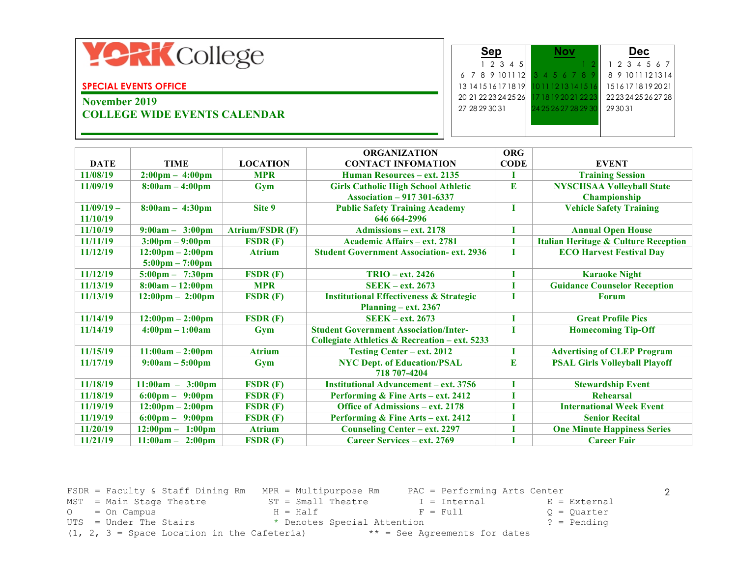

#### **SPECIAL EVENTS OFFICE**

# **November 2019 COLLEGE WIDE EVENTS CALENDAR**

|                      |                      | Dec.                 |
|----------------------|----------------------|----------------------|
| 12345                |                      | 1 2 3 4 5 6 7        |
| 6 7 8 9 10 11 12     | 3 4 5 6 7 8          | 8 9 10 11 12 13 14   |
| 13 14 15 16 17 18 19 | 12 13 14 15 16       | 15161718192021       |
| 20 21 22 23 24 25 26 | 17 18 19 20 21 22 23 | 22 23 24 25 26 27 28 |
| 27 28 29 30 31       | 24 25 26 27 28 29 30 | 29 30 31             |
|                      |                      |                      |
|                      |                      |                      |

|              |                                    |                             | <b>ORGANIZATION</b>                                | <b>ORG</b>  |                                                 |
|--------------|------------------------------------|-----------------------------|----------------------------------------------------|-------------|-------------------------------------------------|
| <b>DATE</b>  | <b>TIME</b>                        | <b>LOCATION</b>             | <b>CONTACT INFOMATION</b>                          | <b>CODE</b> | <b>EVENT</b>                                    |
| 11/08/19     | $2:00 \text{pm} - 4:00 \text{pm}$  | <b>MPR</b>                  | <b>Human Resources - ext. 2135</b>                 | Т           | <b>Training Session</b>                         |
| 11/09/19     | $8:00am - 4:00pm$                  | Gym                         | <b>Girls Catholic High School Athletic</b>         | E           | <b>NYSCHSAA Volleyball State</b>                |
|              |                                    |                             | <b>Association - 917 301-6337</b>                  |             | Championship                                    |
| $11/09/19 -$ | $8:00am - 4:30pm$                  | Site 9                      | <b>Public Safety Training Academy</b>              |             | <b>Vehicle Safety Training</b>                  |
| 11/10/19     |                                    |                             | 646 664-2996                                       |             |                                                 |
| 11/10/19     | $9:00am - 3:00pm$                  | <b>Atrium/FSDR (F)</b>      | Admissions – ext. 2178                             | I           | <b>Annual Open House</b>                        |
| 11/11/19     | $3:00 \text{pm} - 9:00 \text{pm}$  | FSDR(F)                     | Academic Affairs – ext. 2781                       |             | <b>Italian Heritage &amp; Culture Reception</b> |
| 11/12/19     | $12:00 \text{pm} - 2:00 \text{pm}$ | <b>Atrium</b>               | <b>Student Government Association- ext. 2936</b>   |             | <b>ECO Harvest Festival Day</b>                 |
|              | $5:00 \text{pm} - 7:00 \text{pm}$  |                             |                                                    |             |                                                 |
| 11/12/19     | $5:00 \text{pm} - 7:30 \text{pm}$  | FSDR(F)                     | <b>TRIO</b> – ext. 2426                            |             | <b>Karaoke Night</b>                            |
| 11/13/19     | $8:00am - 12:00pm$                 | <b>MPR</b>                  | $SEEK - ext. 2673$                                 |             | <b>Guidance Counselor Reception</b>             |
| 11/13/19     | $12:00 \text{pm} - 2:00 \text{pm}$ | FSDR(F)                     | <b>Institutional Effectiveness &amp; Strategic</b> |             | <b>Forum</b>                                    |
|              |                                    |                             | Planning – ext. $2367$                             |             |                                                 |
| 11/14/19     | $12:00 \text{pm} - 2:00 \text{pm}$ | FSDR(F)                     | $SEEK - ext. 2673$                                 |             | <b>Great Profile Pics</b>                       |
| 11/14/19     | $4:00 \text{pm} - 1:00 \text{am}$  | Gym                         | <b>Student Government Association/Inter-</b>       | Т           | <b>Homecoming Tip-Off</b>                       |
|              |                                    |                             | Collegiate Athletics & Recreation – ext. 5233      |             |                                                 |
| 11/15/19     | $11:00am - 2:00pm$                 | <b>Atrium</b>               | <b>Testing Center - ext. 2012</b>                  |             | <b>Advertising of CLEP Program</b>              |
| 11/17/19     | $9:00am - 5:00pm$                  | Gym                         | <b>NYC Dept. of Education/PSAL</b>                 | E           | <b>PSAL Girls Volleyball Playoff</b>            |
|              |                                    |                             | 718 707-4204                                       |             |                                                 |
| 11/18/19     | $11:00am -$<br>3:00 <sub>pm</sub>  | FSDR(F)                     | <b>Institutional Advancement - ext. 3756</b>       |             | <b>Stewardship Event</b>                        |
| 11/18/19     | $6:00 \text{pm} - 9:00 \text{pm}$  | FSDR(F)                     | Performing & Fine Arts – ext. 2412                 |             | <b>Rehearsal</b>                                |
| 11/19/19     | $12:00 \text{pm} - 2:00 \text{pm}$ | $\textbf{FSDR}(\textbf{F})$ | Office of Admissions – ext. 2178                   |             | <b>International Week Event</b>                 |
| 11/19/19     | $6:00 \text{pm} - 9:00 \text{pm}$  | $\textbf{FSDR}(\textbf{F})$ | Performing & Fine Arts - ext. 2412                 |             | <b>Senior Recital</b>                           |
| 11/20/19     | $12:00 \text{pm} - 1:00 \text{pm}$ | <b>Atrium</b>               | <b>Counseling Center - ext. 2297</b>               |             | <b>One Minute Happiness Series</b>              |
| 11/21/19     | $11:00am - 2:00mm$                 | FSDR(F)                     | Career Services – ext. 2769                        |             | <b>Career Fair</b>                              |

FSDR = Faculty & Staff Dining Rm MPR = Multipurpose Rm PAC = Performing Arts Center MST = Main Stage Theatre  $ST = Small$  Theatre  $I = Internal$   $E = External$ <br>  $O = On$  Campus  $H = Half$   $S = Fall$   $S = Paul$   $R = Full$   $Q = Quarter$  $O = On \text{ Campus}$   $H = Half$   $F = Full$   $Q = Quarterly$ UTS = Under The Stairs \* Denotes Special Attention ? = Pending (1, 2, 3 = Space Location in the Cafeteria)  $**$  = See Agreements for dates

2